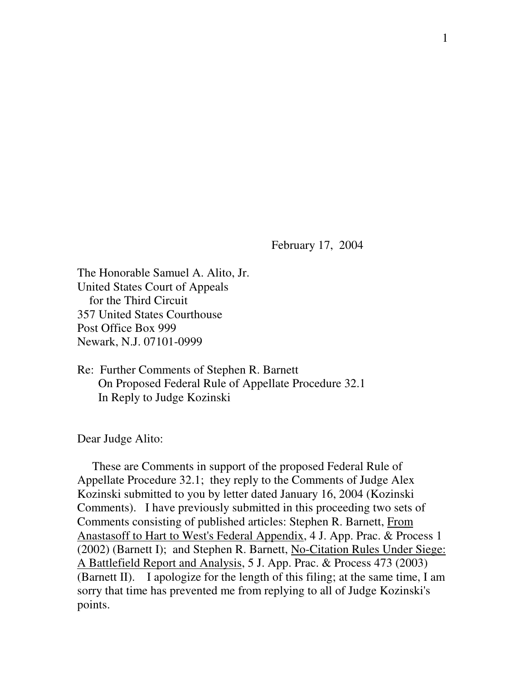February 17, 2004

The Honorable Samuel A. Alito, Jr. United States Court of Appeals for the Third Circuit 357 United States Courthouse Post Office Box 999 Newark, N.J. 07101-0999

Re: Further Comments of Stephen R. Barnett On Proposed Federal Rule of Appellate Procedure 32.1 In Reply to Judge Kozinski

Dear Judge Alito:

These are Comments in support of the proposed Federal Rule of Appellate Procedure 32.1; they reply to the Comments of Judge Alex Kozinski submitted to you by letter dated January 16, 2004 (Kozinski Comments). I have previously submitted in this proceeding two sets of Comments consisting of published articles: Stephen R. Barnett, From Anastasoff to Hart to West's Federal Appendix, 4 J. App. Prac. & Process 1 (2002) (Barnett I); and Stephen R. Barnett, No-Citation Rules Under Siege: A Battlefield Report and Analysis, 5 J. App. Prac. & Process 473 (2003) (Barnett II). I apologize for the length of this filing; at the same time, I am sorry that time has prevented me from replying to all of Judge Kozinski's points.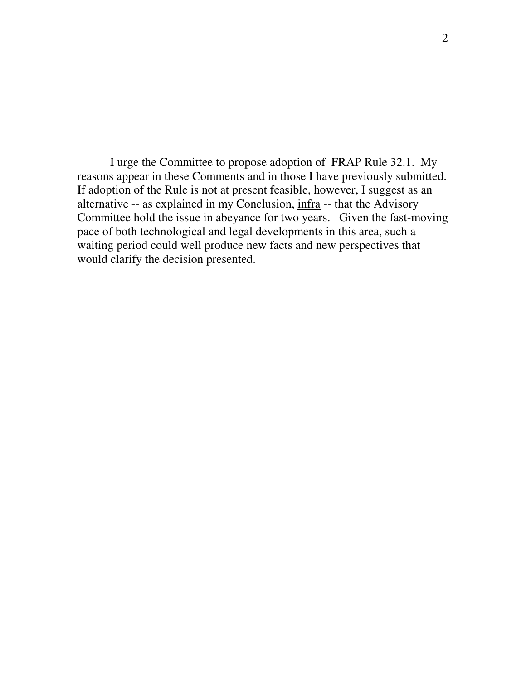I urge the Committee to propose adoption of FRAP Rule 32.1. My reasons appear in these Comments and in those I have previously submitted. If adoption of the Rule is not at present feasible, however, I suggest as an alternative -- as explained in my Conclusion, infra -- that the Advisory Committee hold the issue in abeyance for two years. Given the fast-moving pace of both technological and legal developments in this area, such a waiting period could well produce new facts and new perspectives that would clarify the decision presented.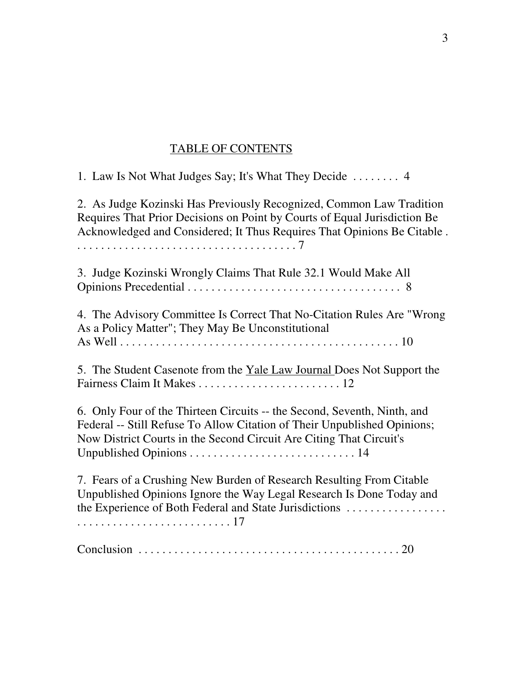## TABLE OF CONTENTS

1. Law Is Not What Judges Say; It's What They Decide . . . . . . . . 4

2. As Judge Kozinski Has Previously Recognized, Common Law Tradition Requires That Prior Decisions on Point by Courts of Equal Jurisdiction Be Acknowledged and Considered; It Thus Requires That Opinions Be Citable .

. . . . . . . . . . . . . . . . . . . . . . . . . . . . . . . . . . . . . 7

3. Judge Kozinski Wrongly Claims That Rule 32.1 Would Make All Opinions Precedential . . . . . . . . . . . . . . . . . . . . . . . . . . . . . . . . . . . . 8

4. The Advisory Committee Is Correct That No-Citation Rules Are "Wrong As a Policy Matter"; They May Be Unconstitutional As Well . . . . . . . . . . . . . . . . . . . . . . . . . . . . . . . . . . . . . . . . . . . . . . . 10

5. The Student Casenote from the Yale Law Journal Does Not Support the Fairness Claim It Makes . . . . . . . . . . . . . . . . . . . . . . . . 12

6. Only Four of the Thirteen Circuits -- the Second, Seventh, Ninth, and Federal -- Still Refuse To Allow Citation of Their Unpublished Opinions; Now District Courts in the Second Circuit Are Citing That Circuit's Unpublished Opinions . . . . . . . . . . . . . . . . . . . . . . . . . . . . 14

7. Fears of a Crushing New Burden of Research Resulting From Citable Unpublished Opinions Ignore the Way Legal Research Is Done Today and the Experience of Both Federal and State Jurisdictions . . . . . . . . . . . . . . . . . . . . . . . . . . . . . . . . . . . . . . . . . . . 17

Conclusion . . . . . . . . . . . . . . . . . . . . . . . . . . . . . . . . . . . . . . . . . . . . 20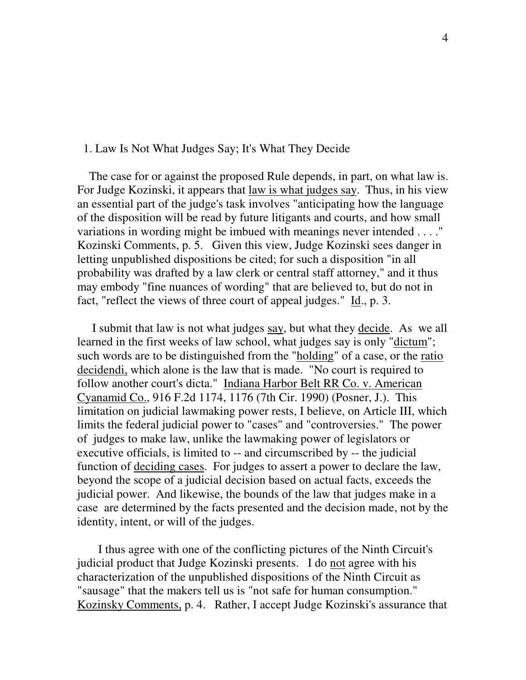## 1. Law Is Not What Judges Say; It's What They Decide

The case for or against the proposed Rule depends, in part, on what law is. For Judge Kozinski, it appears that law is what judges say. Thus, in his view an essential part of the judge's task involves "anticipating how the language of the disposition will be read by future litigants and courts, and how small variations in wording might be imbued with meanings never intended . . . ." Kozinski Comments, p. 5. Given this view, Judge Kozinski sees danger in letting unpublished dispositions be cited; for such a disposition "in all probability was drafted by a law clerk or central staff attorney," and it thus may embody "fine nuances of wording" that are believed to, but do not in fact, "reflect the views of three court of appeal judges." Id., p. 3.

I submit that law is not what judges say, but what they decide. As we all learned in the first weeks of law school, what judges say is only "dictum"; such words are to be distinguished from the "holding" of a case, or the ratio decidendi, which alone is the law that is made. "No court is required to follow another court's dicta." Indiana Harbor Belt RR Co. v. American Cyanamid Co., 916 F.2d 1174, 1176 (7th Cir. 1990) (Posner, J.). This limitation on judicial lawmaking power rests, I believe, on Article III, which limits the federal judicial power to "cases" and "controversies." The power of judges to make law, unlike the lawmaking power of legislators or executive officials, is limited to -- and circumscribed by -- the judicial function of deciding cases. For judges to assert a power to declare the law, beyond the scope of a judicial decision based on actual facts, exceeds the judicial power. And likewise, the bounds of the law that judges make in a case are determined by the facts presented and the decision made, not by the identity, intent, or will of the judges.

I thus agree with one of the conflicting pictures of the Ninth Circuit's judicial product that Judge Kozinski presents. I do not agree with his characterization of the unpublished dispositions of the Ninth Circuit as "sausage" that the makers tell us is "not safe for human consumption." Kozinsky Comments, p. 4. Rather, I accept Judge Kozinski's assurance that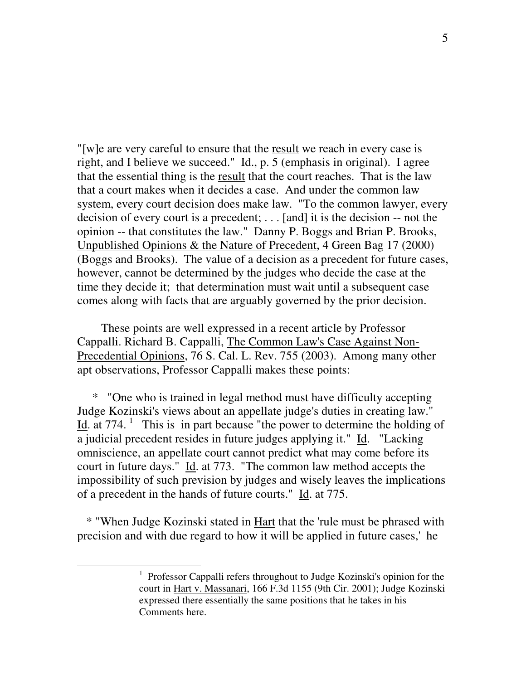"[w]e are very careful to ensure that the result we reach in every case is right, and I believe we succeed."  $\underline{Id}$ ., p. 5 (emphasis in original). I agree that the essential thing is the result that the court reaches. That is the law that a court makes when it decides a case. And under the common law system, every court decision does make law. "To the common lawyer, every decision of every court is a precedent; . . . [and] it is the decision -- not the opinion -- that constitutes the law." Danny P. Boggs and Brian P. Brooks, Unpublished Opinions & the Nature of Precedent, 4 Green Bag 17 (2000) (Boggs and Brooks). The value of a decision as a precedent for future cases, however, cannot be determined by the judges who decide the case at the time they decide it; that determination must wait until a subsequent case comes along with facts that are arguably governed by the prior decision.

These points are well expressed in a recent article by Professor Cappalli. Richard B. Cappalli, The Common Law's Case Against Non-Precedential Opinions, 76 S. Cal. L. Rev. 755 (2003). Among many other apt observations, Professor Cappalli makes these points:

\* "One who is trained in legal method must have difficulty accepting Judge Kozinski's views about an appellate judge's duties in creating law." Id. at 774.<sup>1</sup> This is in part because "the power to determine the holding of a judicial precedent resides in future judges applying it." Id. "Lacking omniscience, an appellate court cannot predict what may come before its court in future days." Id. at 773. "The common law method accepts the impossibility of such prevision by judges and wisely leaves the implications of a precedent in the hands of future courts." Id. at 775.

\* "When Judge Kozinski stated in Hart that the 'rule must be phrased with precision and with due regard to how it will be applied in future cases,' he

<sup>&</sup>lt;sup>1</sup> Professor Cappalli refers throughout to Judge Kozinski's opinion for the court in Hart v. Massanari, 166 F.3d 1155 (9th Cir. 2001); Judge Kozinski expressed there essentially the same positions that he takes in his Comments here.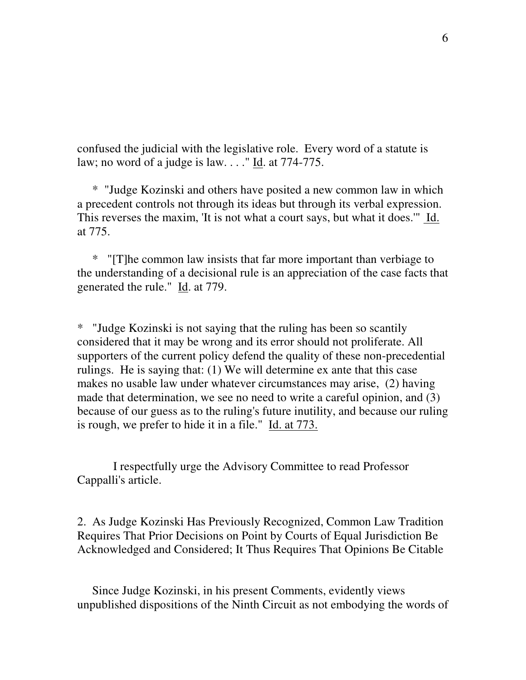confused the judicial with the legislative role. Every word of a statute is law; no word of a judge is law. . . ." Id. at 774-775.

\* "Judge Kozinski and others have posited a new common law in which a precedent controls not through its ideas but through its verbal expression. This reverses the maxim, 'It is not what a court says, but what it does.'" Id. at 775.

\* "[T]he common law insists that far more important than verbiage to the understanding of a decisional rule is an appreciation of the case facts that generated the rule." Id. at 779.

\* "Judge Kozinski is not saying that the ruling has been so scantily considered that it may be wrong and its error should not proliferate. All supporters of the current policy defend the quality of these non-precedential rulings. He is saying that: (1) We will determine ex ante that this case makes no usable law under whatever circumstances may arise, (2) having made that determination, we see no need to write a careful opinion, and (3) because of our guess as to the ruling's future inutility, and because our ruling is rough, we prefer to hide it in a file." Id. at 773.

I respectfully urge the Advisory Committee to read Professor Cappalli's article.

2. As Judge Kozinski Has Previously Recognized, Common Law Tradition Requires That Prior Decisions on Point by Courts of Equal Jurisdiction Be Acknowledged and Considered; It Thus Requires That Opinions Be Citable

Since Judge Kozinski, in his present Comments, evidently views unpublished dispositions of the Ninth Circuit as not embodying the words of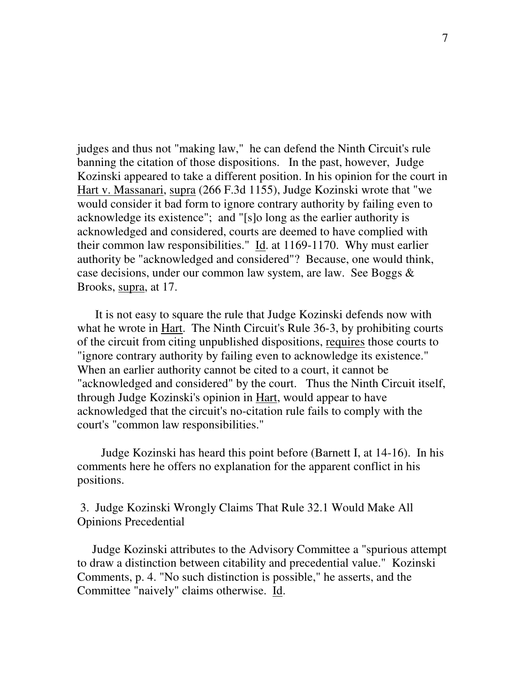judges and thus not "making law," he can defend the Ninth Circuit's rule banning the citation of those dispositions. In the past, however, Judge Kozinski appeared to take a different position. In his opinion for the court in Hart v. Massanari, supra (266 F.3d 1155), Judge Kozinski wrote that "we would consider it bad form to ignore contrary authority by failing even to acknowledge its existence"; and "[s]o long as the earlier authority is acknowledged and considered, courts are deemed to have complied with their common law responsibilities." Id. at 1169-1170. Why must earlier authority be "acknowledged and considered"? Because, one would think, case decisions, under our common law system, are law. See Boggs & Brooks, supra, at 17.

It is not easy to square the rule that Judge Kozinski defends now with what he wrote in Hart. The Ninth Circuit's Rule 36-3, by prohibiting courts of the circuit from citing unpublished dispositions, requires those courts to "ignore contrary authority by failing even to acknowledge its existence." When an earlier authority cannot be cited to a court, it cannot be "acknowledged and considered" by the court. Thus the Ninth Circuit itself, through Judge Kozinski's opinion in Hart, would appear to have acknowledged that the circuit's no-citation rule fails to comply with the court's "common law responsibilities."

Judge Kozinski has heard this point before (Barnett I, at 14-16). In his comments here he offers no explanation for the apparent conflict in his positions.

3. Judge Kozinski Wrongly Claims That Rule 32.1 Would Make All Opinions Precedential

Judge Kozinski attributes to the Advisory Committee a "spurious attempt to draw a distinction between citability and precedential value." Kozinski Comments, p. 4. "No such distinction is possible," he asserts, and the Committee "naively" claims otherwise. Id.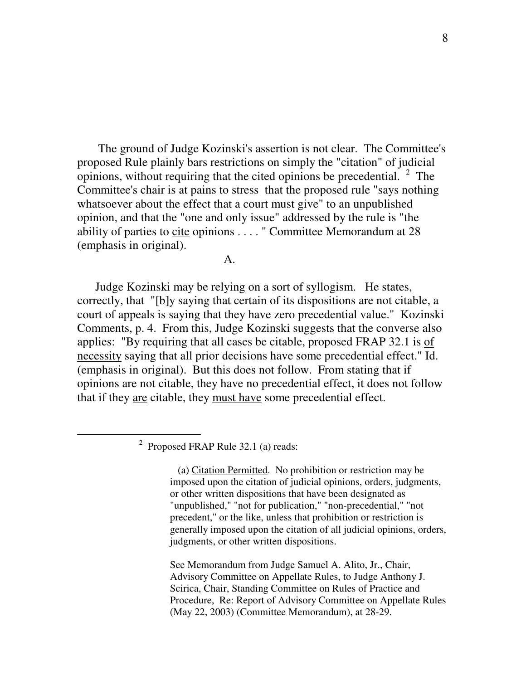The ground of Judge Kozinski's assertion is not clear. The Committee's proposed Rule plainly bars restrictions on simply the "citation" of judicial opinions, without requiring that the cited opinions be precedential.  $2$  The Committee's chair is at pains to stress that the proposed rule "says nothing whatsoever about the effect that a court must give" to an unpublished opinion, and that the "one and only issue" addressed by the rule is "the ability of parties to cite opinions . . . . " Committee Memorandum at 28 (emphasis in original).

 $\mathbf{A}$ .

Judge Kozinski may be relying on a sort of syllogism. He states, correctly, that "[b]y saying that certain of its dispositions are not citable, a court of appeals is saying that they have zero precedential value." Kozinski Comments, p. 4. From this, Judge Kozinski suggests that the converse also applies: "By requiring that all cases be citable, proposed FRAP 32.1 is of necessity saying that all prior decisions have some precedential effect." Id. (emphasis in original). But this does not follow. From stating that if opinions are not citable, they have no precedential effect, it does not follow that if they are citable, they must have some precedential effect.

 $2$  Proposed FRAP Rule 32.1 (a) reads:

(a) Citation Permitted. No prohibition or restriction may be imposed upon the citation of judicial opinions, orders, judgments, or other written dispositions that have been designated as "unpublished," "not for publication," "non-precedential," "not precedent," or the like, unless that prohibition or restriction is generally imposed upon the citation of all judicial opinions, orders, judgments, or other written dispositions.

See Memorandum from Judge Samuel A. Alito, Jr., Chair, Advisory Committee on Appellate Rules, to Judge Anthony J. Scirica, Chair, Standing Committee on Rules of Practice and Procedure, Re: Report of Advisory Committee on Appellate Rules (May 22, 2003) (Committee Memorandum), at 28-29.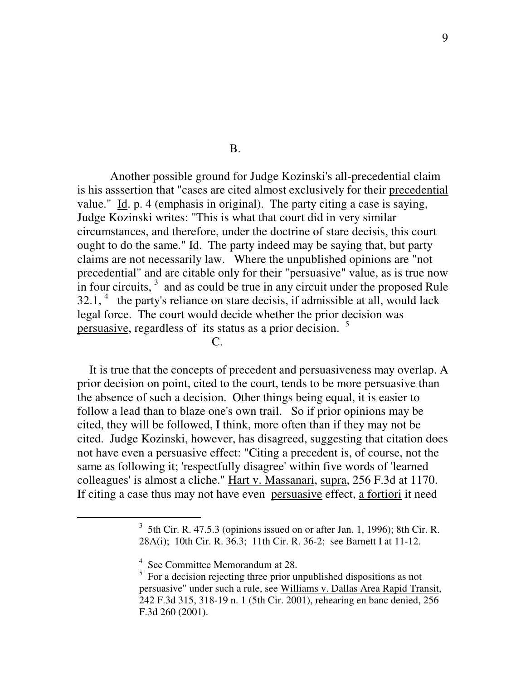B.

Another possible ground for Judge Kozinski's all-precedential claim is his asssertion that "cases are cited almost exclusively for their precedential value." Id. p. 4 (emphasis in original). The party citing a case is saying, Judge Kozinski writes: "This is what that court did in very similar circumstances, and therefore, under the doctrine of stare decisis, this court ought to do the same." Id. The party indeed may be saying that, but party claims are not necessarily law. Where the unpublished opinions are "not precedential" and are citable only for their "persuasive" value, as is true now in four circuits,  $3$  and as could be true in any circuit under the proposed Rule  $32.1$ ,  $4$  the party's reliance on stare decisis, if admissible at all, would lack legal force. The court would decide whether the prior decision was persuasive, regardless of its status as a prior decision.<sup>5</sup>

 $C_{\cdot}$ 

It is true that the concepts of precedent and persuasiveness may overlap. A prior decision on point, cited to the court, tends to be more persuasive than the absence of such a decision. Other things being equal, it is easier to follow a lead than to blaze one's own trail. So if prior opinions may be cited, they will be followed, I think, more often than if they may not be cited. Judge Kozinski, however, has disagreed, suggesting that citation does not have even a persuasive effect: "Citing a precedent is, of course, not the same as following it; 'respectfully disagree' within five words of 'learned colleagues' is almost a cliche." Hart v. Massanari, supra, 256 F.3d at 1170. If citing a case thus may not have even persuasive effect, a fortiori it need

 $3\,$  5th Cir. R. 47.5.3 (opinions issued on or after Jan. 1, 1996); 8th Cir. R. 28A(i); 10th Cir. R. 36.3; 11th Cir. R. 36-2; see Barnett I at 11-12.

<sup>&</sup>lt;sup>4</sup> See Committee Memorandum at 28.

 $5$  For a decision rejecting three prior unpublished dispositions as not persuasive" under such a rule, see Williams v. Dallas Area Rapid Transit, 242 F.3d 315, 318-19 n. 1 (5th Cir. 2001), rehearing en banc denied, 256 F.3d 260 (2001).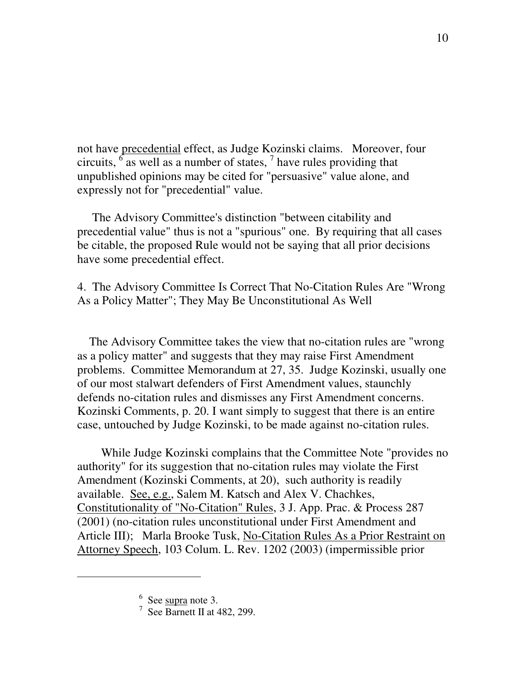not have precedential effect, as Judge Kozinski claims. Moreover, four circuits,  $\frac{6}{1}$  as well as a number of states,  $\frac{7}{1}$  have rules providing that unpublished opinions may be cited for "persuasive" value alone, and expressly not for "precedential" value.

The Advisory Committee's distinction "between citability and precedential value" thus is not a "spurious" one. By requiring that all cases be citable, the proposed Rule would not be saying that all prior decisions have some precedential effect.

4. The Advisory Committee Is Correct That No-Citation Rules Are "Wrong As a Policy Matter"; They May Be Unconstitutional As Well

The Advisory Committee takes the view that no-citation rules are "wrong as a policy matter" and suggests that they may raise First Amendment problems. Committee Memorandum at 27, 35. Judge Kozinski, usually one of our most stalwart defenders of First Amendment values, staunchly defends no-citation rules and dismisses any First Amendment concerns. Kozinski Comments, p. 20. I want simply to suggest that there is an entire case, untouched by Judge Kozinski, to be made against no-citation rules.

While Judge Kozinski complains that the Committee Note "provides no authority" for its suggestion that no-citation rules may violate the First Amendment (Kozinski Comments, at 20), such authority is readily available. See, e.g., Salem M. Katsch and Alex V. Chachkes, Constitutionality of "No-Citation" Rules, 3 J. App. Prac. & Process 287 (2001) (no-citation rules unconstitutional under First Amendment and Article III); Marla Brooke Tusk, No-Citation Rules As a Prior Restraint on Attorney Speech, 103 Colum. L. Rev. 1202 (2003) (impermissible prior

 $6$  See  $\frac{\text{supra}}{\text{not}}$  note 3.

 $7$  See Barnett II at 482, 299.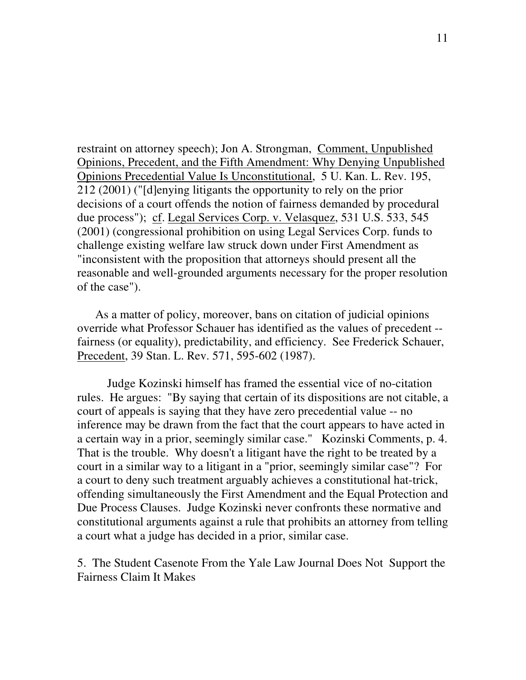restraint on attorney speech); Jon A. Strongman, Comment, Unpublished Opinions, Precedent, and the Fifth Amendment: Why Denying Unpublished Opinions Precedential Value Is Unconstitutional, 5 U. Kan. L. Rev. 195, 212 (2001) ("[d]enying litigants the opportunity to rely on the prior decisions of a court offends the notion of fairness demanded by procedural due process"); cf. Legal Services Corp. v. Velasquez, 531 U.S. 533, 545 (2001) (congressional prohibition on using Legal Services Corp. funds to challenge existing welfare law struck down under First Amendment as "inconsistent with the proposition that attorneys should present all the reasonable and well-grounded arguments necessary for the proper resolution of the case").

As a matter of policy, moreover, bans on citation of judicial opinions override what Professor Schauer has identified as the values of precedent - fairness (or equality), predictability, and efficiency. See Frederick Schauer, Precedent, 39 Stan. L. Rev. 571, 595-602 (1987).

Judge Kozinski himself has framed the essential vice of no-citation rules. He argues: "By saying that certain of its dispositions are not citable, a court of appeals is saying that they have zero precedential value -- no inference may be drawn from the fact that the court appears to have acted in a certain way in a prior, seemingly similar case." Kozinski Comments, p. 4. That is the trouble. Why doesn't a litigant have the right to be treated by a court in a similar way to a litigant in a "prior, seemingly similar case"? For a court to deny such treatment arguably achieves a constitutional hat-trick, offending simultaneously the First Amendment and the Equal Protection and Due Process Clauses. Judge Kozinski never confronts these normative and constitutional arguments against a rule that prohibits an attorney from telling a court what a judge has decided in a prior, similar case.

5. The Student Casenote From the Yale Law Journal Does Not Support the Fairness Claim It Makes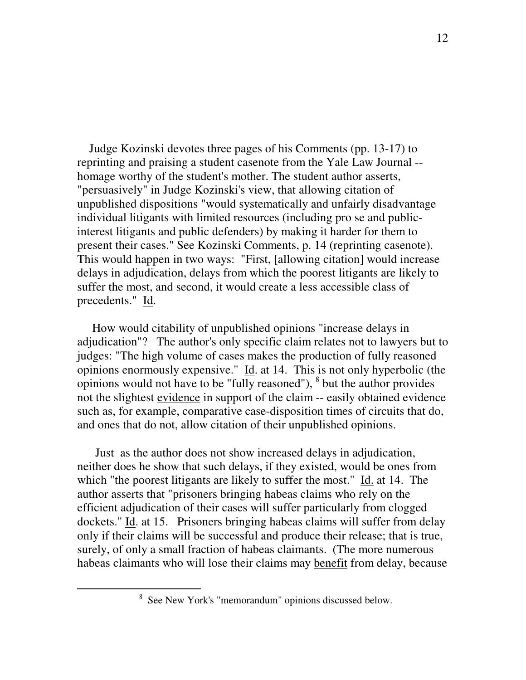Judge Kozinski devotes three pages of his Comments (pp. 13-17) to reprinting and praising a student casenote from the Yale Law Journal - homage worthy of the student's mother. The student author asserts, "persuasively" in Judge Kozinski's view, that allowing citation of unpublished dispositions "would systematically and unfairly disadvantage individual litigants with limited resources (including pro se and publicinterest litigants and public defenders) by making it harder for them to present their cases." See Kozinski Comments, p. 14 (reprinting casenote). This would happen in two ways: "First, [allowing citation] would increase delays in adjudication, delays from which the poorest litigants are likely to suffer the most, and second, it would create a less accessible class of precedents." Id.

How would citability of unpublished opinions "increase delays in adjudication"? The author's only specific claim relates not to lawyers but to judges: "The high volume of cases makes the production of fully reasoned opinions enormously expensive." Id. at 14. This is not only hyperbolic (the opinions would not have to be "fully reasoned"), 8 but the author provides not the slightest evidence in support of the claim -- easily obtained evidence such as, for example, comparative case-disposition times of circuits that do, and ones that do not, allow citation of their unpublished opinions.

Just as the author does not show increased delays in adjudication, neither does he show that such delays, if they existed, would be ones from which "the poorest litigants are likely to suffer the most." Id. at 14. The author asserts that "prisoners bringing habeas claims who rely on the efficient adjudication of their cases will suffer particularly from clogged dockets." Id. at 15. Prisoners bringing habeas claims will suffer from delay only if their claims will be successful and produce their release; that is true, surely, of only a small fraction of habeas claimants. (The more numerous habeas claimants who will lose their claims may benefit from delay, because

<sup>8</sup> See New York's "memorandum" opinions discussed below.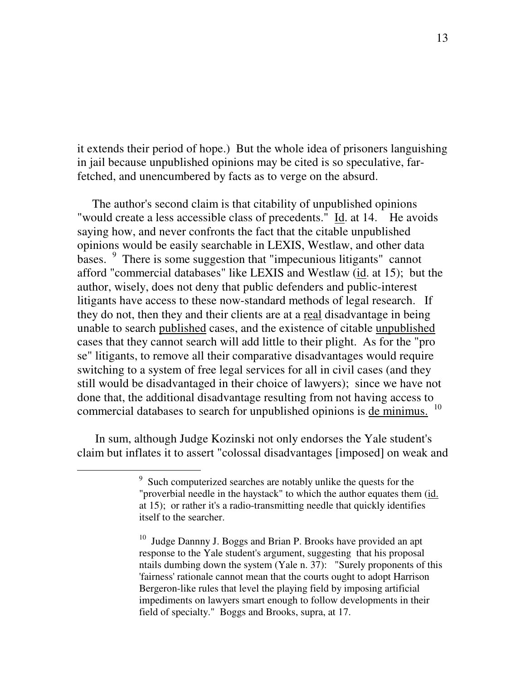it extends their period of hope.) But the whole idea of prisoners languishing in jail because unpublished opinions may be cited is so speculative, farfetched, and unencumbered by facts as to verge on the absurd.

The author's second claim is that citability of unpublished opinions "would create a less accessible class of precedents." Id. at 14. He avoids saying how, and never confronts the fact that the citable unpublished opinions would be easily searchable in LEXIS, Westlaw, and other data bases. <sup>9</sup> There is some suggestion that "impecunious litigants" cannot afford "commercial databases" like LEXIS and Westlaw (id. at 15); but the author, wisely, does not deny that public defenders and public-interest litigants have access to these now-standard methods of legal research. If they do not, then they and their clients are at a real disadvantage in being unable to search published cases, and the existence of citable unpublished cases that they cannot search will add little to their plight. As for the "pro se" litigants, to remove all their comparative disadvantages would require switching to a system of free legal services for all in civil cases (and they still would be disadvantaged in their choice of lawyers); since we have not done that, the additional disadvantage resulting from not having access to commercial databases to search for unpublished opinions is de minimus.<sup>10</sup>

In sum, although Judge Kozinski not only endorses the Yale student's claim but inflates it to assert "colossal disadvantages [imposed] on weak and

<sup>&</sup>lt;sup>9</sup> Such computerized searches are notably unlike the quests for the "proverbial needle in the haystack" to which the author equates them (id. at 15); or rather it's a radio-transmitting needle that quickly identifies itself to the searcher.

<sup>&</sup>lt;sup>10</sup> Judge Dannny J. Boggs and Brian P. Brooks have provided an apt response to the Yale student's argument, suggesting that his proposal ntails dumbing down the system (Yale n. 37): "Surely proponents of this 'fairness' rationale cannot mean that the courts ought to adopt Harrison Bergeron-like rules that level the playing field by imposing artificial impediments on lawyers smart enough to follow developments in their field of specialty." Boggs and Brooks, supra, at 17.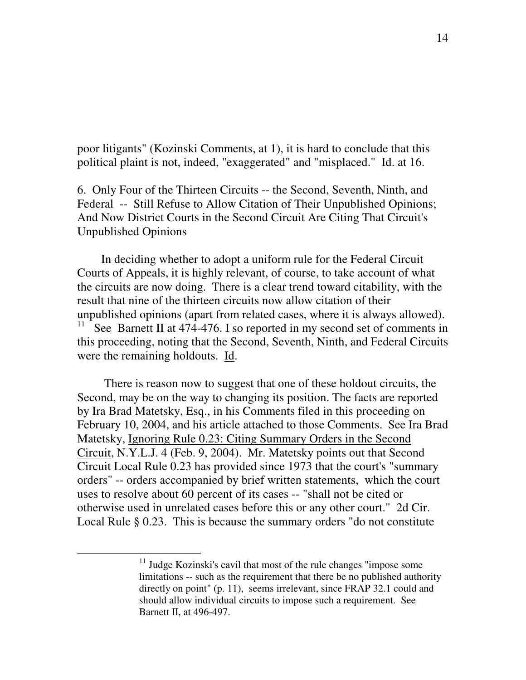poor litigants" (Kozinski Comments, at 1), it is hard to conclude that this political plaint is not, indeed, "exaggerated" and "misplaced." Id. at 16.

6. Only Four of the Thirteen Circuits -- the Second, Seventh, Ninth, and Federal -- Still Refuse to Allow Citation of Their Unpublished Opinions; And Now District Courts in the Second Circuit Are Citing That Circuit's Unpublished Opinions

In deciding whether to adopt a uniform rule for the Federal Circuit Courts of Appeals, it is highly relevant, of course, to take account of what the circuits are now doing. There is a clear trend toward citability, with the result that nine of the thirteen circuits now allow citation of their unpublished opinions (apart from related cases, where it is always allowed). 11 See Barnett II at 474-476. I so reported in my second set of comments in this proceeding, noting that the Second, Seventh, Ninth, and Federal Circuits were the remaining holdouts. Id.

There is reason now to suggest that one of these holdout circuits, the Second, may be on the way to changing its position. The facts are reported by Ira Brad Matetsky, Esq., in his Comments filed in this proceeding on February 10, 2004, and his article attached to those Comments. See Ira Brad Matetsky, Ignoring Rule 0.23: Citing Summary Orders in the Second Circuit, N.Y.L.J. 4 (Feb. 9, 2004). Mr. Matetsky points out that Second Circuit Local Rule 0.23 has provided since 1973 that the court's "summary orders" -- orders accompanied by brief written statements, which the court uses to resolve about 60 percent of its cases -- "shall not be cited or otherwise used in unrelated cases before this or any other court." 2d Cir. Local Rule § 0.23. This is because the summary orders "do not constitute

<sup>&</sup>lt;sup>11</sup> Judge Kozinski's cavil that most of the rule changes "impose some limitations -- such as the requirement that there be no published authority directly on point" (p. 11), seems irrelevant, since FRAP 32.1 could and should allow individual circuits to impose such a requirement. See Barnett II, at 496-497.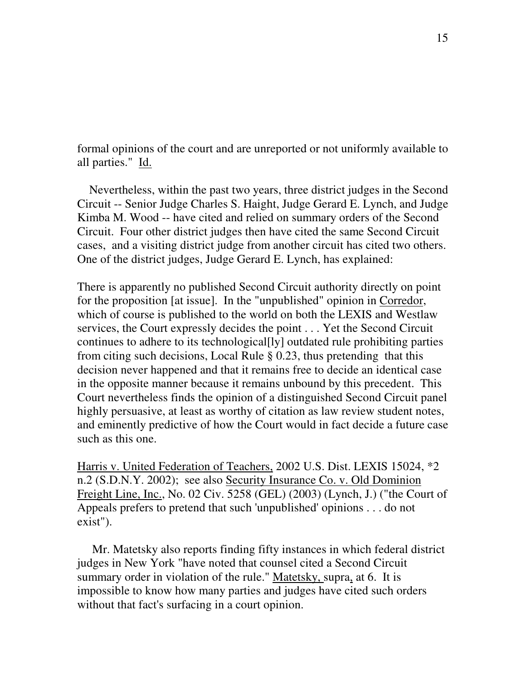formal opinions of the court and are unreported or not uniformly available to all parties." Id.

Nevertheless, within the past two years, three district judges in the Second Circuit -- Senior Judge Charles S. Haight, Judge Gerard E. Lynch, and Judge Kimba M. Wood -- have cited and relied on summary orders of the Second Circuit. Four other district judges then have cited the same Second Circuit cases, and a visiting district judge from another circuit has cited two others. One of the district judges, Judge Gerard E. Lynch, has explained:

There is apparently no published Second Circuit authority directly on point for the proposition [at issue]. In the "unpublished" opinion in Corredor, which of course is published to the world on both the LEXIS and Westlaw services, the Court expressly decides the point . . . Yet the Second Circuit continues to adhere to its technological[ly] outdated rule prohibiting parties from citing such decisions, Local Rule § 0.23, thus pretending that this decision never happened and that it remains free to decide an identical case in the opposite manner because it remains unbound by this precedent. This Court nevertheless finds the opinion of a distinguished Second Circuit panel highly persuasive, at least as worthy of citation as law review student notes, and eminently predictive of how the Court would in fact decide a future case such as this one.

Harris v. United Federation of Teachers, 2002 U.S. Dist. LEXIS 15024, \*2 n.2 (S.D.N.Y. 2002); see also Security Insurance Co. v. Old Dominion Freight Line, Inc., No. 02 Civ. 5258 (GEL) (2003) (Lynch, J.) ("the Court of Appeals prefers to pretend that such 'unpublished' opinions . . . do not exist").

Mr. Matetsky also reports finding fifty instances in which federal district judges in New York "have noted that counsel cited a Second Circuit summary order in violation of the rule." Matetsky, supra, at 6. It is impossible to know how many parties and judges have cited such orders without that fact's surfacing in a court opinion.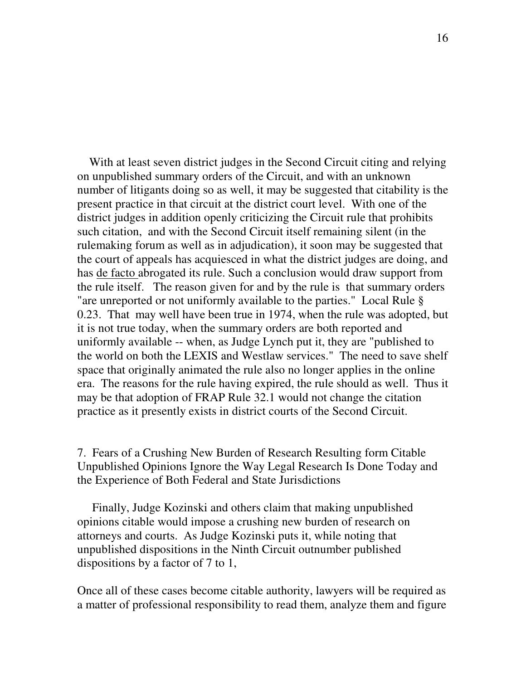With at least seven district judges in the Second Circuit citing and relying on unpublished summary orders of the Circuit, and with an unknown number of litigants doing so as well, it may be suggested that citability is the present practice in that circuit at the district court level. With one of the district judges in addition openly criticizing the Circuit rule that prohibits such citation, and with the Second Circuit itself remaining silent (in the rulemaking forum as well as in adjudication), it soon may be suggested that the court of appeals has acquiesced in what the district judges are doing, and has de facto abrogated its rule. Such a conclusion would draw support from the rule itself. The reason given for and by the rule is that summary orders "are unreported or not uniformly available to the parties." Local Rule § 0.23. That may well have been true in 1974, when the rule was adopted, but it is not true today, when the summary orders are both reported and uniformly available -- when, as Judge Lynch put it, they are "published to the world on both the LEXIS and Westlaw services." The need to save shelf space that originally animated the rule also no longer applies in the online era. The reasons for the rule having expired, the rule should as well. Thus it may be that adoption of FRAP Rule 32.1 would not change the citation practice as it presently exists in district courts of the Second Circuit.

7. Fears of a Crushing New Burden of Research Resulting form Citable Unpublished Opinions Ignore the Way Legal Research Is Done Today and the Experience of Both Federal and State Jurisdictions

Finally, Judge Kozinski and others claim that making unpublished opinions citable would impose a crushing new burden of research on attorneys and courts. As Judge Kozinski puts it, while noting that unpublished dispositions in the Ninth Circuit outnumber published dispositions by a factor of 7 to 1,

Once all of these cases become citable authority, lawyers will be required as a matter of professional responsibility to read them, analyze them and figure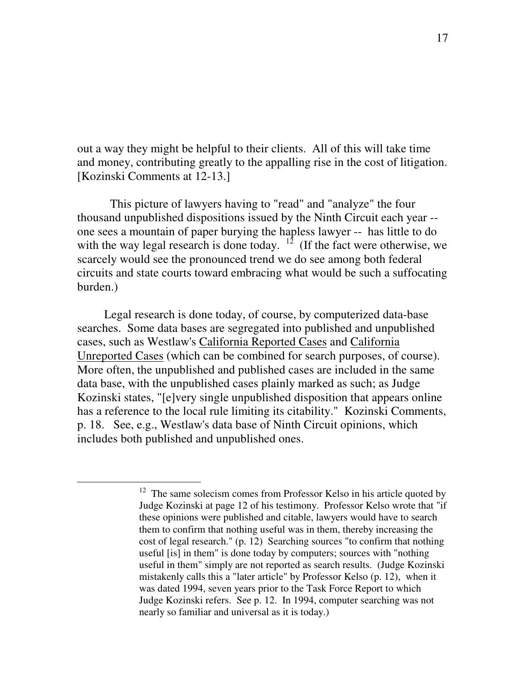out a way they might be helpful to their clients. All of this will take time and money, contributing greatly to the appalling rise in the cost of litigation. [Kozinski Comments at 12-13.]

This picture of lawyers having to "read" and "analyze" the four thousand unpublished dispositions issued by the Ninth Circuit each year - one sees a mountain of paper burying the hapless lawyer -- has little to do with the way legal research is done today.  $12 \times 10^5$  (If the fact were otherwise, we scarcely would see the pronounced trend we do see among both federal circuits and state courts toward embracing what would be such a suffocating burden.)

Legal research is done today, of course, by computerized data-base searches. Some data bases are segregated into published and unpublished cases, such as Westlaw's California Reported Cases and California Unreported Cases (which can be combined for search purposes, of course). More often, the unpublished and published cases are included in the same data base, with the unpublished cases plainly marked as such; as Judge Kozinski states, "[e]very single unpublished disposition that appears online has a reference to the local rule limiting its citability." Kozinski Comments, p. 18. See, e.g., Westlaw's data base of Ninth Circuit opinions, which includes both published and unpublished ones.

<sup>&</sup>lt;sup>12</sup> The same solecism comes from Professor Kelso in his article quoted by Judge Kozinski at page 12 of his testimony. Professor Kelso wrote that "if these opinions were published and citable, lawyers would have to search them to confirm that nothing useful was in them, thereby increasing the cost of legal research." (p. 12) Searching sources "to confirm that nothing useful [is] in them" is done today by computers; sources with "nothing useful in them" simply are not reported as search results. (Judge Kozinski mistakenly calls this a "later article" by Professor Kelso (p. 12), when it was dated 1994, seven years prior to the Task Force Report to which Judge Kozinski refers. See p. 12. In 1994, computer searching was not nearly so familiar and universal as it is today.)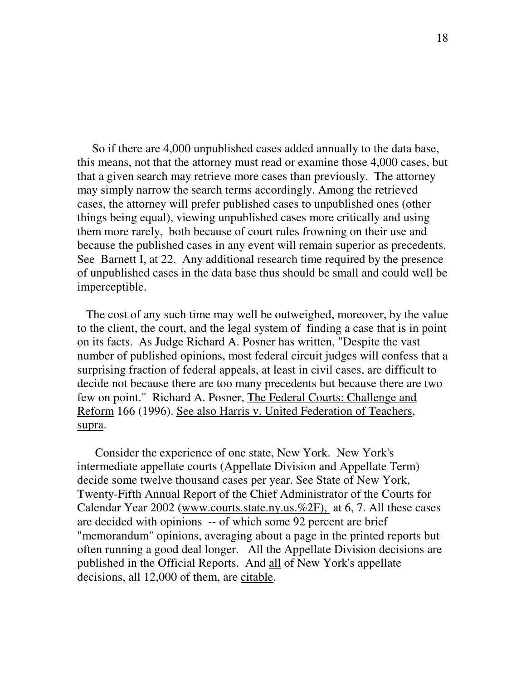So if there are 4,000 unpublished cases added annually to the data base, this means, not that the attorney must read or examine those 4,000 cases, but that a given search may retrieve more cases than previously. The attorney may simply narrow the search terms accordingly. Among the retrieved cases, the attorney will prefer published cases to unpublished ones (other things being equal), viewing unpublished cases more critically and using them more rarely, both because of court rules frowning on their use and because the published cases in any event will remain superior as precedents. See Barnett I, at 22. Any additional research time required by the presence of unpublished cases in the data base thus should be small and could well be imperceptible.

The cost of any such time may well be outweighed, moreover, by the value to the client, the court, and the legal system of finding a case that is in point on its facts. As Judge Richard A. Posner has written, "Despite the vast number of published opinions, most federal circuit judges will confess that a surprising fraction of federal appeals, at least in civil cases, are difficult to decide not because there are too many precedents but because there are two few on point." Richard A. Posner, The Federal Courts: Challenge and Reform 166 (1996). See also Harris v. United Federation of Teachers, supra.

Consider the experience of one state, New York. New York's intermediate appellate courts (Appellate Division and Appellate Term) decide some twelve thousand cases per year. See State of New York, Twenty-Fifth Annual Report of the Chief Administrator of the Courts for Calendar Year 2002 (www.courts.state.ny.us.%2F), at 6, 7. All these cases are decided with opinions -- of which some 92 percent are brief "memorandum" opinions, averaging about a page in the printed reports but often running a good deal longer. All the Appellate Division decisions are published in the Official Reports. And all of New York's appellate decisions, all 12,000 of them, are citable.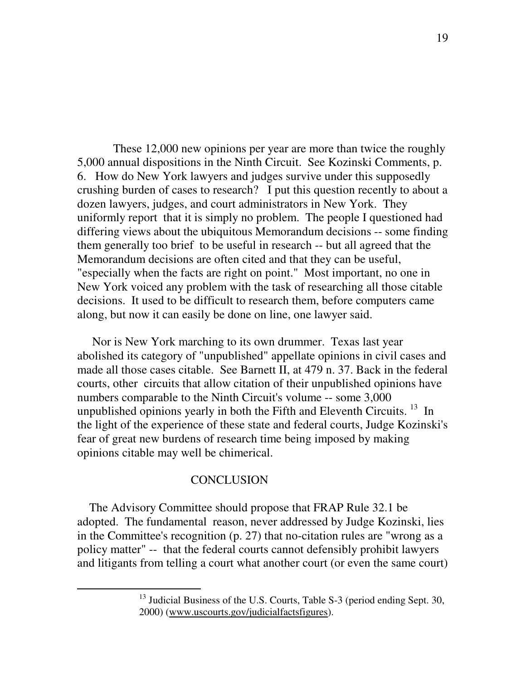These 12,000 new opinions per year are more than twice the roughly 5,000 annual dispositions in the Ninth Circuit. See Kozinski Comments, p. 6. How do New York lawyers and judges survive under this supposedly crushing burden of cases to research? I put this question recently to about a dozen lawyers, judges, and court administrators in New York. They uniformly report that it is simply no problem. The people I questioned had differing views about the ubiquitous Memorandum decisions -- some finding them generally too brief to be useful in research -- but all agreed that the Memorandum decisions are often cited and that they can be useful, "especially when the facts are right on point." Most important, no one in New York voiced any problem with the task of researching all those citable decisions. It used to be difficult to research them, before computers came along, but now it can easily be done on line, one lawyer said.

Nor is New York marching to its own drummer. Texas last year abolished its category of "unpublished" appellate opinions in civil cases and made all those cases citable. See Barnett II, at 479 n. 37. Back in the federal courts, other circuits that allow citation of their unpublished opinions have numbers comparable to the Ninth Circuit's volume -- some 3,000 unpublished opinions yearly in both the Fifth and Eleventh Circuits.<sup>13</sup> In the light of the experience of these state and federal courts, Judge Kozinski's fear of great new burdens of research time being imposed by making opinions citable may well be chimerical.

## **CONCLUSION**

The Advisory Committee should propose that FRAP Rule 32.1 be adopted. The fundamental reason, never addressed by Judge Kozinski, lies in the Committee's recognition (p. 27) that no-citation rules are "wrong as a policy matter" -- that the federal courts cannot defensibly prohibit lawyers and litigants from telling a court what another court (or even the same court)

 $13$  Judicial Business of the U.S. Courts, Table S-3 (period ending Sept. 30, 2000) (www.uscourts.gov/judicialfactsfigures).